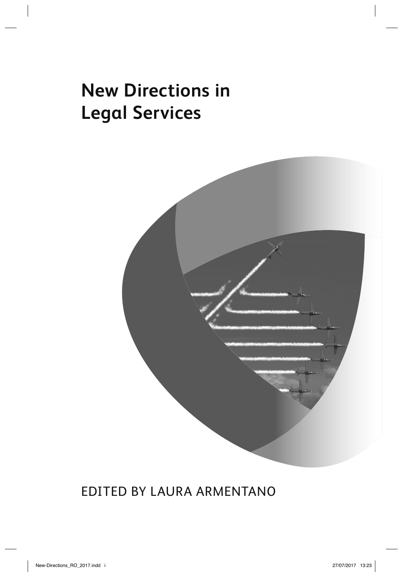# **New Directions in Legal Services**



### EDITED BY LAURA ARMENTANO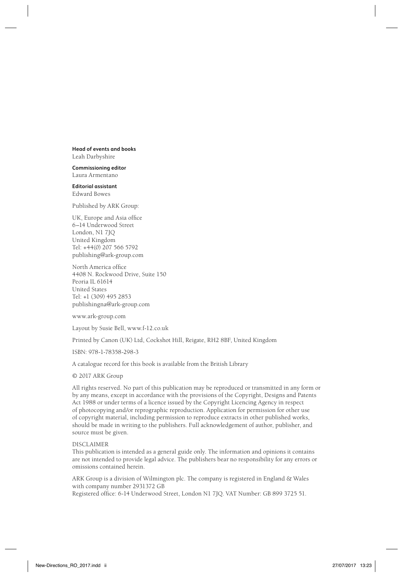**Head of events and books** Leah Darbyshire

**Commissioning editor** Laura Armentano

**Editorial assistant** Edward Bowes

Published by ARK Group:

UK, Europe and Asia office 6–14 Underwood Street London, N1 7JQ United Kingdom Tel: +44(0) 207 566 5792 publishing@ark-group.com

North America office 4408 N. Rockwood Drive, Suite 150 Peoria IL 61614 United States Tel: +1 (309) 495 2853 publishingna@ark-group.com

www.ark-group.com

Layout by Susie Bell, www.f-12.co.uk

Printed by Canon (UK) Ltd, Cockshot Hill, Reigate, RH2 8BF, United Kingdom

ISBN: 978-1-78358-298-3

A catalogue record for this book is available from the British Library

© 2017 ARK Group

All rights reserved. No part of this publication may be reproduced or transmitted in any form or by any means, except in accordance with the provisions of the Copyright, Designs and Patents Act 1988 or under terms of a licence issued by the Copyright Licencing Agency in respect of photocopying and/or reprographic reproduction. Application for permission for other use of copyright material, including permission to reproduce extracts in other published works, should be made in writing to the publishers. Full acknowledgement of author, publisher, and source must be given.

#### DISCI AIMER

This publication is intended as a general guide only. The information and opinions it contains are not intended to provide legal advice. The publishers bear no responsibility for any errors or omissions contained herein.

ARK Group is a division of Wilmington plc. The company is registered in England & Wales with company number 2931372 GB

Registered office: 6-14 Underwood Street, London N1 7JO. VAT Number: GB 899 3725 51.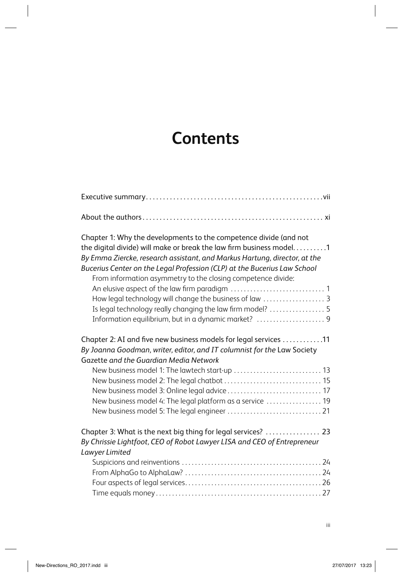## **Contents**

| Chapter 1: Why the developments to the competence divide (and not         |
|---------------------------------------------------------------------------|
| the digital divide) will make or break the law firm business model. 1     |
| By Emma Ziercke, research assistant, and Markus Hartung, director, at the |
| Bucerius Center on the Legal Profession (CLP) at the Bucerius Law School  |
| From information asymmetry to the closing competence divide:              |
|                                                                           |
| How legal technology will change the business of law  3                   |
| Is legal technology really changing the law firm model?  5                |
| Information equilibrium, but in a dynamic market?  9                      |
| Chapter 2: AI and five new business models for legal services 11          |
| By Joanna Goodman, writer, editor, and IT columnist for the Law Society   |
| Gazette and the Guardian Media Network                                    |
| New business model 1: The lawtech start-up  13                            |
|                                                                           |
| New business model 3: Online legal advice  17                             |
| New business model 4: The legal platform as a service  19                 |
|                                                                           |
| Chapter 3: What is the next big thing for legal services?  23             |
| By Chrissie Lightfoot, CEO of Robot Lawyer LISA and CEO of Entrepreneur   |
| Lawyer Limited                                                            |
|                                                                           |
|                                                                           |
|                                                                           |
|                                                                           |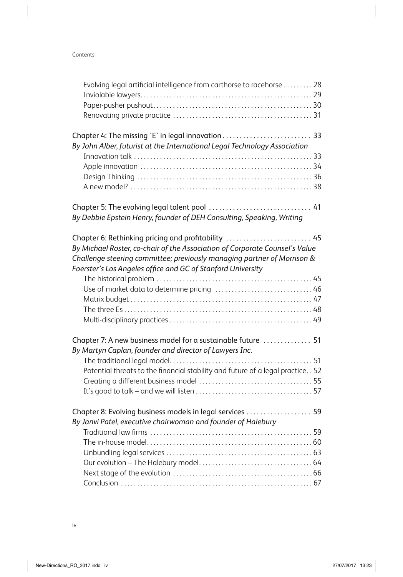| Evolving legal artificial intelligence from carthorse to racehorse  28                                                          |  |
|---------------------------------------------------------------------------------------------------------------------------------|--|
|                                                                                                                                 |  |
|                                                                                                                                 |  |
|                                                                                                                                 |  |
| Chapter 4: The missing 'E' in legal innovation  33<br>By John Alber, futurist at the International Legal Technology Association |  |
|                                                                                                                                 |  |
|                                                                                                                                 |  |
|                                                                                                                                 |  |
|                                                                                                                                 |  |
|                                                                                                                                 |  |
| By Debbie Epstein Henry, founder of DEH Consulting, Speaking, Writing                                                           |  |
| Chapter 6: Rethinking pricing and profitability  45                                                                             |  |
| By Michael Roster, co-chair of the Association of Corporate Counsel's Value                                                     |  |
| Challenge steering committee; previously managing partner of Morrison &                                                         |  |
| Foerster's Los Angeles office and GC of Stanford University                                                                     |  |
|                                                                                                                                 |  |
|                                                                                                                                 |  |
|                                                                                                                                 |  |
|                                                                                                                                 |  |
|                                                                                                                                 |  |
| Chapter 7: A new business model for a sustainable future  51                                                                    |  |
| By Martyn Caplan, founder and director of Lawyers Inc.                                                                          |  |
|                                                                                                                                 |  |
| Potential threats to the financial stability and future of a legal practice 52                                                  |  |
|                                                                                                                                 |  |
|                                                                                                                                 |  |
| Chapter 8: Evolving business models in legal services  59                                                                       |  |
| By Janvi Patel, executive chairwoman and founder of Halebury                                                                    |  |
|                                                                                                                                 |  |
|                                                                                                                                 |  |
|                                                                                                                                 |  |
|                                                                                                                                 |  |
|                                                                                                                                 |  |
|                                                                                                                                 |  |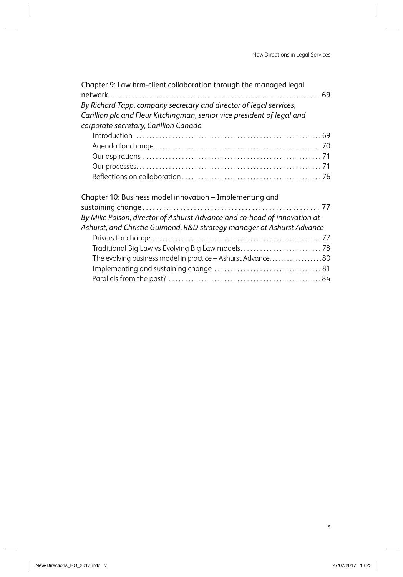| Chapter 9: Law firm-client collaboration through the managed legal<br>By Richard Tapp, company secretary and director of legal services,<br>Carillion plc and Fleur Kitchingman, senior vice president of legal and<br>corporate secretary, Carillion Canada |  |
|--------------------------------------------------------------------------------------------------------------------------------------------------------------------------------------------------------------------------------------------------------------|--|
|                                                                                                                                                                                                                                                              |  |
|                                                                                                                                                                                                                                                              |  |
|                                                                                                                                                                                                                                                              |  |
|                                                                                                                                                                                                                                                              |  |
|                                                                                                                                                                                                                                                              |  |
| Chapter 10: Business model innovation - Implementing and                                                                                                                                                                                                     |  |
| By Mike Polson, director of Ashurst Advance and co-head of innovation at<br>Ashurst, and Christie Guimond, R&D strategy manager at Ashurst Advance                                                                                                           |  |
|                                                                                                                                                                                                                                                              |  |
| Traditional Big Law vs Evolving Big Law models78                                                                                                                                                                                                             |  |
| The evolving business model in practice - Ashurst Advance80                                                                                                                                                                                                  |  |
|                                                                                                                                                                                                                                                              |  |
|                                                                                                                                                                                                                                                              |  |
|                                                                                                                                                                                                                                                              |  |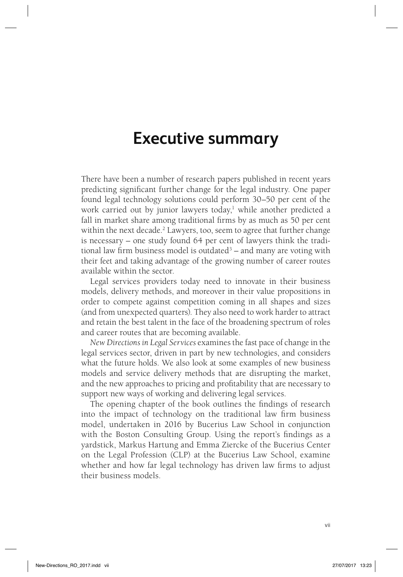## **Executive summary**

There have been a number of research papers published in recent years predicting significant further change for the legal industry. One paper found legal technology solutions could perform 30–50 per cent of the work carried out by junior lawyers today,<sup>1</sup> while another predicted a fall in market share among traditional firms by as much as 50 per cent within the next decade.<sup>2</sup> Lawyers, too, seem to agree that further change is necessary – one study found 64 per cent of lawyers think the traditional law firm business model is outdated<sup>3</sup> – and many are voting with their feet and taking advantage of the growing number of career routes available within the sector.

Legal services providers today need to innovate in their business models, delivery methods, and moreover in their value propositions in order to compete against competition coming in all shapes and sizes (and from unexpected quarters). They also need to work harder to attract and retain the best talent in the face of the broadening spectrum of roles and career routes that are becoming available.

*New Directions in Legal Services* examines the fast pace of change in the legal services sector, driven in part by new technologies, and considers what the future holds. We also look at some examples of new business models and service delivery methods that are disrupting the market, and the new approaches to pricing and profitability that are necessary to support new ways of working and delivering legal services.

The opening chapter of the book outlines the findings of research into the impact of technology on the traditional law firm business model, undertaken in 2016 by Bucerius Law School in conjunction with the Boston Consulting Group. Using the report's findings as a yardstick, Markus Hartung and Emma Ziercke of the Bucerius Center on the Legal Profession (CLP) at the Bucerius Law School, examine whether and how far legal technology has driven law firms to adjust their business models.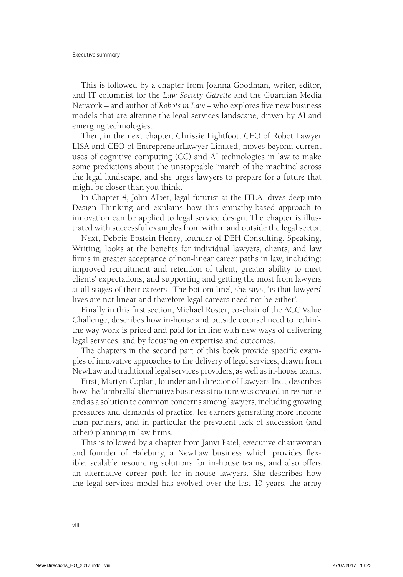This is followed by a chapter from Joanna Goodman, writer, editor, and IT columnist for the *Law Society Gazette* and the Guardian Media Network – and author of *Robots in Law* – who explores five new business models that are altering the legal services landscape, driven by AI and emerging technologies.

Then, in the next chapter, Chrissie Lightfoot, CEO of Robot Lawyer LISA and CEO of EntrepreneurLawyer Limited, moves beyond current uses of cognitive computing (CC) and AI technologies in law to make some predictions about the unstoppable 'march of the machine' across the legal landscape, and she urges lawyers to prepare for a future that might be closer than you think.

In Chapter 4, John Alber, legal futurist at the ITLA, dives deep into Design Thinking and explains how this empathy-based approach to innovation can be applied to legal service design. The chapter is illustrated with successful examples from within and outside the legal sector.

Next, Debbie Epstein Henry, founder of DEH Consulting, Speaking, Writing, looks at the benefits for individual lawyers, clients, and law firms in greater acceptance of non-linear career paths in law, including: improved recruitment and retention of talent, greater ability to meet clients' expectations, and supporting and getting the most from lawyers at all stages of their careers. 'The bottom line', she says, 'is that lawyers' lives are not linear and therefore legal careers need not be either'.

Finally in this first section, Michael Roster, co-chair of the ACC Value Challenge, describes how in-house and outside counsel need to rethink the way work is priced and paid for in line with new ways of delivering legal services, and by focusing on expertise and outcomes.

The chapters in the second part of this book provide specific examples of innovative approaches to the delivery of legal services, drawn from NewLaw and traditional legal services providers, as well as in-house teams.

First, Martyn Caplan, founder and director of Lawyers Inc., describes how the 'umbrella' alternative business structure was created in response and as a solution to common concerns among lawyers, including growing pressures and demands of practice, fee earners generating more income than partners, and in particular the prevalent lack of succession (and other) planning in law firms.

This is followed by a chapter from Janvi Patel, executive chairwoman and founder of Halebury, a NewLaw business which provides flexible, scalable resourcing solutions for in-house teams, and also offers an alternative career path for in-house lawyers. She describes how the legal services model has evolved over the last 10 years, the array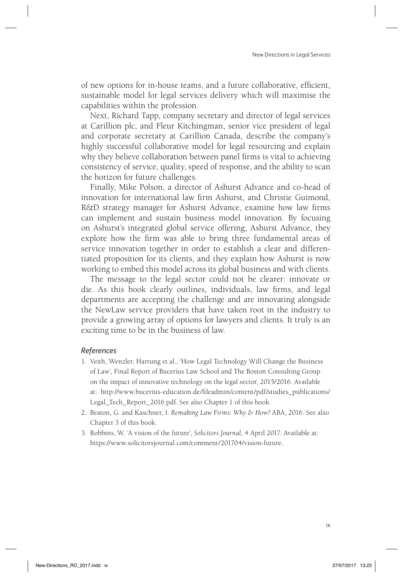of new options for in-house teams, and a future collaborative, efficient, sustainable model for legal services delivery which will maximise the capabilities within the profession.

Next, Richard Tapp, company secretary and director of legal services at Carillion plc, and Fleur Kitchingman, senior vice president of legal and corporate secretary at Carillion Canada, describe the company's highly successful collaborative model for legal resourcing and explain why they believe collaboration between panel firms is vital to achieving consistency of service, quality, speed of response, and the ability to scan the horizon for future challenges.

Finally, Mike Polson, a director of Ashurst Advance and co-head of innovation for international law firm Ashurst, and Christie Guimond, R&D strategy manager for Ashurst Advance, examine how law firms can implement and sustain business model innovation. By focusing on Ashurst's integrated global service offering, Ashurst Advance, they explore how the firm was able to bring three fundamental areas of service innovation together in order to establish a clear and differentiated proposition for its clients, and they explain how Ashurst is now working to embed this model across its global business and with clients.

The message to the legal sector could not be clearer: innovate or die. As this book clearly outlines, individuals, law firms, and legal departments are accepting the challenge and are innovating alongside the NewLaw service providers that have taken root in the industry to provide a growing array of options for lawyers and clients. It truly is an exciting time to be in the business of law.

### *References*

- 1. Veith, Wenzler, Hartung et al., 'How Legal Technology Will Change the Business of Law', Final Report of Bucerius Law School and The Boston Consulting Group on the impact of innovative technology on the legal sector, 2015/2016. Available at: http://www.bucerius-education.de/fi leadmin/content/pdf/studies\_publications/ Legal\_Tech\_Report\_2016.pdf. See also Chapter 1 of this book.
- 2. Beaton, G. and Kaschner, I. *Remaking Law Firms: Why & How?* ABA, 2016. See also Chapter 3 of this book.
- 3. Robbins, W. 'A vision of the future', *Solicitors Journal*, 4 April 2017. Available at: https://www.solicitorsjournal.com/comment/201704/vision-future.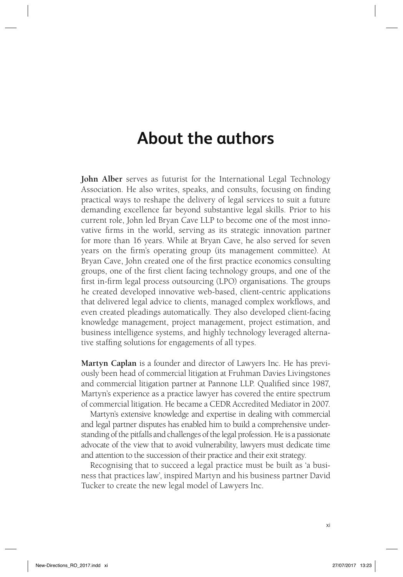## **About the authors**

**John Alber** serves as futurist for the International Legal Technology Association. He also writes, speaks, and consults, focusing on finding practical ways to reshape the delivery of legal services to suit a future demanding excellence far beyond substantive legal skills. Prior to his current role, John led Bryan Cave LLP to become one of the most innovative firms in the world, serving as its strategic innovation partner for more than 16 years. While at Bryan Cave, he also served for seven years on the firm's operating group (its management committee). At Bryan Cave, John created one of the first practice economics consulting groups, one of the first client facing technology groups, and one of the first in-firm legal process outsourcing (LPO) organisations. The groups he created developed innovative web-based, client-centric applications that delivered legal advice to clients, managed complex workflows, and even created pleadings automatically. They also developed client-facing knowledge management, project management, project estimation, and business intelligence systems, and highly technology leveraged alternative staffing solutions for engagements of all types.

**Martyn Caplan** is a founder and director of Lawyers Inc. He has previously been head of commercial litigation at Fruhman Davies Livingstones and commercial litigation partner at Pannone LLP. Qualified since 1987, Martyn's experience as a practice lawyer has covered the entire spectrum of commercial litigation. He became a CEDR Accredited Mediator in 2007.

Martyn's extensive knowledge and expertise in dealing with commercial and legal partner disputes has enabled him to build a comprehensive understanding of the pitfalls and challenges of the legal profession. He is a passionate advocate of the view that to avoid vulnerability, lawyers must dedicate time and attention to the succession of their practice and their exit strategy.

Recognising that to succeed a legal practice must be built as 'a business that practices law', inspired Martyn and his business partner David Tucker to create the new legal model of Lawyers Inc.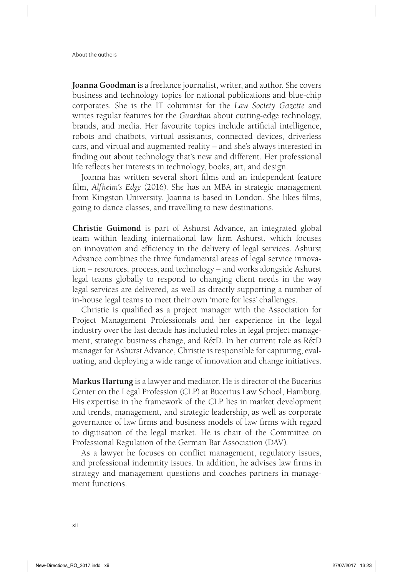**Joanna Goodman** is a freelance journalist, writer, and author. She covers business and technology topics for national publications and blue-chip corporates. She is the IT columnist for the *Law Society Gazette* and writes regular features for the *Guardian* about cutting-edge technology, brands, and media. Her favourite topics include artificial intelligence, robots and chatbots, virtual assistants, connected devices, driverless cars, and virtual and augmented reality – and she's always interested in finding out about technology that's new and different. Her professional life reflects her interests in technology, books, art, and design.

Joanna has written several short films and an independent feature film, *Alfheim's Edge* (2016). She has an MBA in strategic management from Kingston University. Joanna is based in London. She likes films, going to dance classes, and travelling to new destinations.

**Christie Guimond** is part of Ashurst Advance, an integrated global team within leading international law firm Ashurst, which focuses on innovation and efficiency in the delivery of legal services. Ashurst Advance combines the three fundamental areas of legal service innovation – resources, process, and technology – and works alongside Ashurst legal teams globally to respond to changing client needs in the way legal services are delivered, as well as directly supporting a number of in-house legal teams to meet their own 'more for less' challenges.

Christie is qualified as a project manager with the Association for Project Management Professionals and her experience in the legal industry over the last decade has included roles in legal project management, strategic business change, and R&D. In her current role as R&D manager for Ashurst Advance, Christie is responsible for capturing, evaluating, and deploying a wide range of innovation and change initiatives.

**Markus Hartung** is a lawyer and mediator. He is director of the Bucerius Center on the Legal Profession (CLP) at Bucerius Law School, Hamburg. His expertise in the framework of the CLP lies in market development and trends, management, and strategic leadership, as well as corporate governance of law firms and business models of law firms with regard to digitisation of the legal market. He is chair of the Committee on Professional Regulation of the German Bar Association (DAV).

As a lawyer he focuses on conflict management, regulatory issues, and professional indemnity issues. In addition, he advises law firms in strategy and management questions and coaches partners in management functions.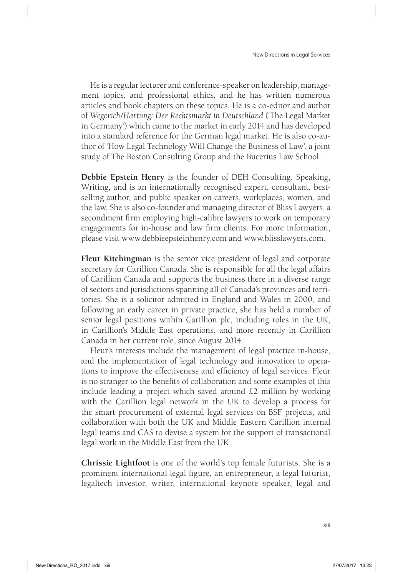He is a regular lecturer and conference-speaker on leadership, management topics, and professional ethics, and he has written numerous articles and book chapters on these topics. He is a co-editor and author of *Wegerich/Hartung: Der Rechtsmarkt in Deutschland* ('The Legal Market in Germany') which came to the market in early 2014 and has developed into a standard reference for the German legal market. He is also co-author of 'How Legal Technology Will Change the Business of Law', a joint study of The Boston Consulting Group and the Bucerius Law School.

**Debbie Epstein Henry** is the founder of DEH Consulting, Speaking, Writing, and is an internationally recognised expert, consultant, bestselling author, and public speaker on careers, workplaces, women, and the law. She is also co-founder and managing director of Bliss Lawyers, a secondment firm employing high-calibre lawyers to work on temporary engagements for in-house and law firm clients. For more information, please visit www.debbieepsteinhenry.com and www.blisslawyers.com.

**Fleur Kitchingman** is the senior vice president of legal and corporate secretary for Carillion Canada. She is responsible for all the legal affairs of Carillion Canada and supports the business there in a diverse range of sectors and jurisdictions spanning all of Canada's provinces and territories. She is a solicitor admitted in England and Wales in 2000, and following an early career in private practice, she has held a number of senior legal positions within Carillion plc, including roles in the UK, in Carillion's Middle East operations, and more recently in Carillion Canada in her current role, since August 2014.

Fleur's interests include the management of legal practice in-house, and the implementation of legal technology and innovation to operations to improve the effectiveness and efficiency of legal services. Fleur is no stranger to the benefits of collaboration and some examples of this include leading a project which saved around £2 million by working with the Carillion legal network in the UK to develop a process for the smart procurement of external legal services on BSF projects, and collaboration with both the UK and Middle Eastern Carillion internal legal teams and CAS to devise a system for the support of transactional legal work in the Middle East from the UK.

**Chrissie Lightfoot** is one of the world's top female futurists. She is a prominent international legal figure, an entrepreneur, a legal futurist, legaltech investor, writer, international keynote speaker, legal and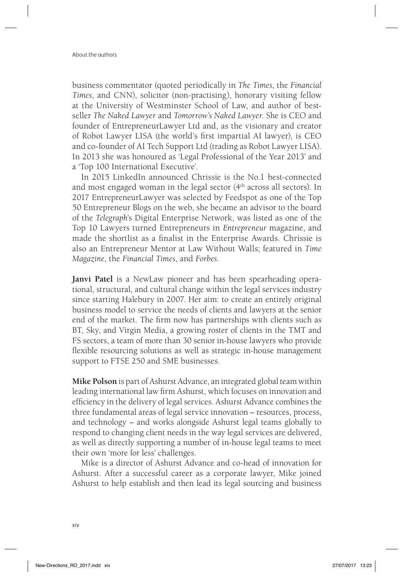business commentator (quoted periodically in *The Times*, the *Financial Times*, and CNN), solicitor (non-practising), honorary visiting fellow at the University of Westminster School of Law, and author of bestseller *The Naked Lawyer* and *Tomorrow's Naked Lawyer*. She is CEO and founder of EntrepreneurLawyer Ltd and, as the visionary and creator of Robot Lawyer LISA (the world's first impartial AI lawyer), is CEO and co-founder of AI Tech Support Ltd (trading as Robot Lawyer LISA). In 2013 she was honoured as 'Legal Professional of the Year 2013' and a 'Top 100 International Executive'.

In 2015 LinkedIn announced Chrissie is the No.1 best-connected and most engaged woman in the legal sector (4th across all sectors). In 2017 EntrepreneurLawyer was selected by Feedspot as one of the Top 50 Entrepreneur Blogs on the web, she became an advisor to the board of the *Telegraph*'s Digital Enterprise Network, was listed as one of the Top 10 Lawyers turned Entrepreneurs in *Entrepreneur* magazine, and made the shortlist as a finalist in the Enterprise Awards. Chrissie is also an Entrepreneur Mentor at Law Without Walls; featured in *Time Magazine*, the *Financial Times*, and *Forbes*.

**Janvi Patel** is a NewLaw pioneer and has been spearheading operational, structural, and cultural change within the legal services industry since starting Halebury in 2007. Her aim: to create an entirely original business model to service the needs of clients and lawyers at the senior end of the market. The firm now has partnerships with clients such as BT, Sky, and Virgin Media, a growing roster of clients in the TMT and FS sectors, a team of more than 30 senior in-house lawyers who provide flexible resourcing solutions as well as strategic in-house management support to FTSE 250 and SME businesses.

**Mike Polson** is part of Ashurst Advance, an integrated global team within leading international law firm Ashurst, which focuses on innovation and efficiency in the delivery of legal services. Ashurst Advance combines the three fundamental areas of legal service innovation – resources, process, and technology – and works alongside Ashurst legal teams globally to respond to changing client needs in the way legal services are delivered, as well as directly supporting a number of in-house legal teams to meet their own 'more for less' challenges.

Mike is a director of Ashurst Advance and co-head of innovation for Ashurst. After a successful career as a corporate lawyer, Mike joined Ashurst to help establish and then lead its legal sourcing and business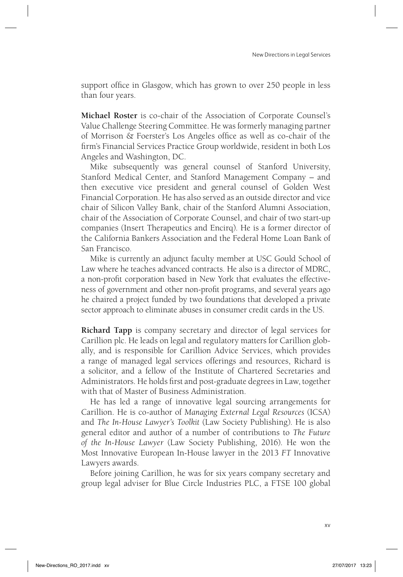support office in Glasgow, which has grown to over 250 people in less than four years.

**Michael Roster** is co-chair of the Association of Corporate Counsel's Value Challenge Steering Committee. He was formerly managing partner of Morrison & Foerster's Los Angeles office as well as co-chair of the firm's Financial Services Practice Group worldwide, resident in both Los Angeles and Washington, DC.

Mike subsequently was general counsel of Stanford University, Stanford Medical Center, and Stanford Management Company – and then executive vice president and general counsel of Golden West Financial Corporation. He has also served as an outside director and vice chair of Silicon Valley Bank, chair of the Stanford Alumni Association, chair of the Association of Corporate Counsel, and chair of two start-up companies (Insert Therapeutics and Encirq). He is a former director of the California Bankers Association and the Federal Home Loan Bank of San Francisco.

Mike is currently an adjunct faculty member at USC Gould School of Law where he teaches advanced contracts. He also is a director of MDRC, a non-profit corporation based in New York that evaluates the effectiveness of government and other non-profit programs, and several years ago he chaired a project funded by two foundations that developed a private sector approach to eliminate abuses in consumer credit cards in the US.

**Richard Tapp** is company secretary and director of legal services for Carillion plc. He leads on legal and regulatory matters for Carillion globally, and is responsible for Carillion Advice Services, which provides a range of managed legal services offerings and resources, Richard is a solicitor, and a fellow of the Institute of Chartered Secretaries and Administrators. He holds first and post-graduate degrees in Law, together with that of Master of Business Administration.

He has led a range of innovative legal sourcing arrangements for Carillion. He is co-author of *Managing External Legal Resources* (ICSA) and *The In-House Lawyer's Toolkit* (Law Society Publishing). He is also general editor and author of a number of contributions to *The Future of the In-House Lawyer* (Law Society Publishing, 2016). He won the Most Innovative European In-House lawyer in the 2013 *FT* Innovative Lawyers awards.

Before joining Carillion, he was for six years company secretary and group legal adviser for Blue Circle Industries PLC, a FTSE 100 global